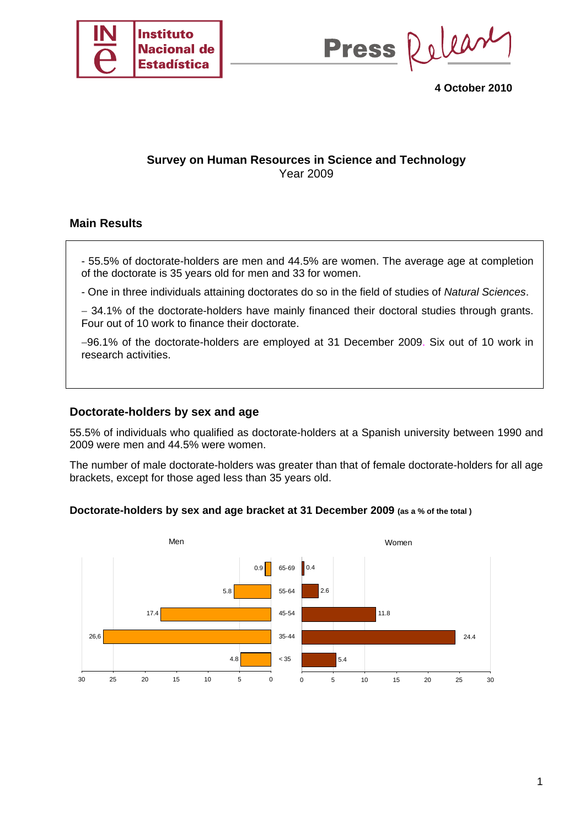

Press Release

**4 October 2010** 

# **Survey on Human Resources in Science and Technology**  Year 2009

# **Main Results**

- 55.5% of doctorate-holders are men and 44.5% are women. The average age at completion of the doctorate is 35 years old for men and 33 for women.

- One in three individuals attaining doctorates do so in the field of studies of *Natural Sciences*.

− 34.1% of the doctorate-holders have mainly financed their doctoral studies through grants. Four out of 10 work to finance their doctorate.

−96.1% of the doctorate-holders are employed at 31 December 2009. Six out of 10 work in research activities.

## **Doctorate-holders by sex and age**

55.5% of individuals who qualified as doctorate-holders at a Spanish university between 1990 and 2009 were men and 44.5% were women.

The number of male doctorate-holders was greater than that of female doctorate-holders for all age brackets, except for those aged less than 35 years old.

### **Doctorate-holders by sex and age bracket at 31 December 2009 (as a % of the total )**

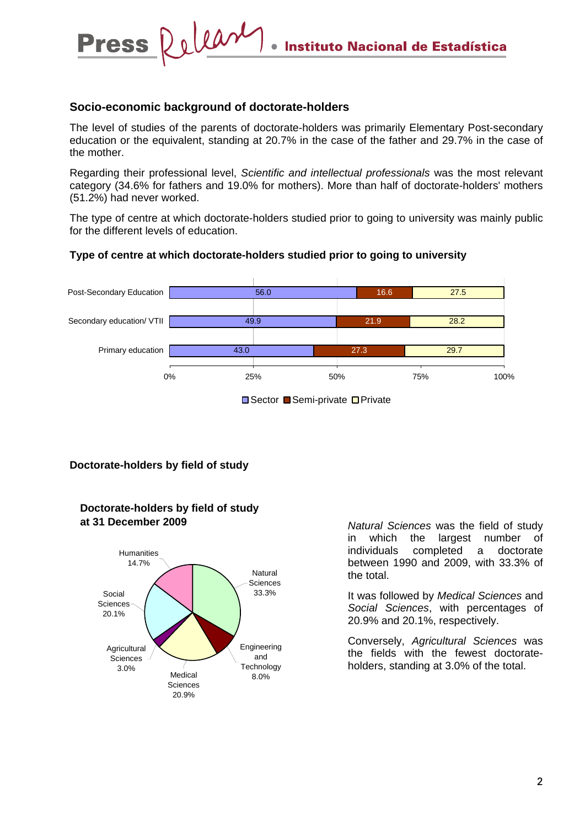## **Socio-economic background of doctorate-holders**

Delease

**Press** 

The level of studies of the parents of doctorate-holders was primarily Elementary Post-secondary education or the equivalent, standing at 20.7% in the case of the father and 29.7% in the case of the mother.

Regarding their professional level, *Scientific and intellectual professionals* was the most relevant category (34.6% for fathers and 19.0% for mothers). More than half of doctorate-holders' mothers (51.2%) had never worked.

The type of centre at which doctorate-holders studied prior to going to university was mainly public for the different levels of education.

#### **Type of centre at which doctorate-holders studied prior to going to university**



**■Sector ■Semi-private ■Private** 

### **Doctorate-holders by field of study**



**Doctorate-holders by field of study at 31 December 2009**

*Natural Sciences* was the field of study in which the largest number of individuals completed a doctorate between 1990 and 2009, with 33.3% of the total.

It was followed by *Medical Sciences* and *Social Sciences*, with percentages of 20.9% and 20.1%, respectively.

Conversely, *Agricultural Sciences* was the fields with the fewest doctorateholders, standing at 3.0% of the total.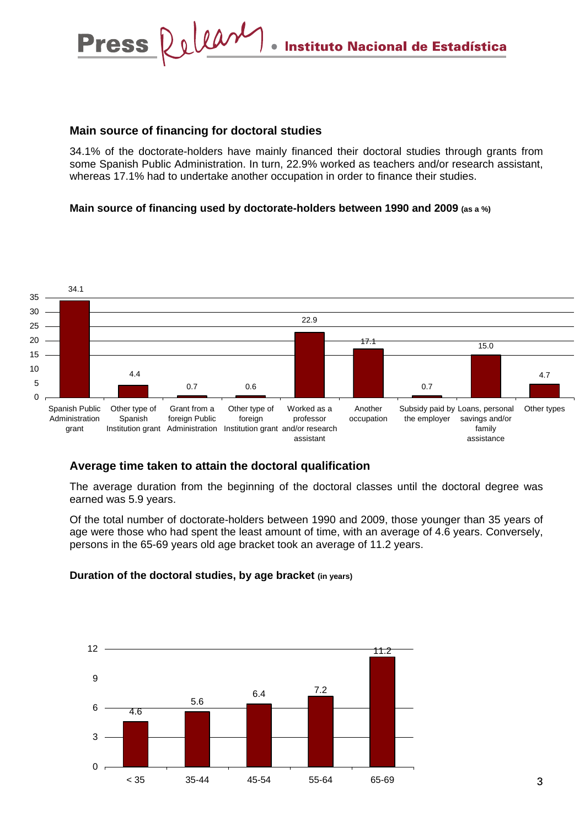# **Main source of financing for doctoral studies**

Delease

**Press** 

34.1% of the doctorate-holders have mainly financed their doctoral studies through grants from some Spanish Public Administration. In turn, 22.9% worked as teachers and/or research assistant, whereas 17.1% had to undertake another occupation in order to finance their studies.

### **Main source of financing used by doctorate-holders between 1990 and 2009 (as a %)**



### **Average time taken to attain the doctoral qualification**

The average duration from the beginning of the doctoral classes until the doctoral degree was earned was 5.9 years.

Of the total number of doctorate-holders between 1990 and 2009, those younger than 35 years of age were those who had spent the least amount of time, with an average of 4.6 years. Conversely, persons in the 65-69 years old age bracket took an average of 11.2 years.

#### **Duration of the doctoral studies, by age bracket (in years)**

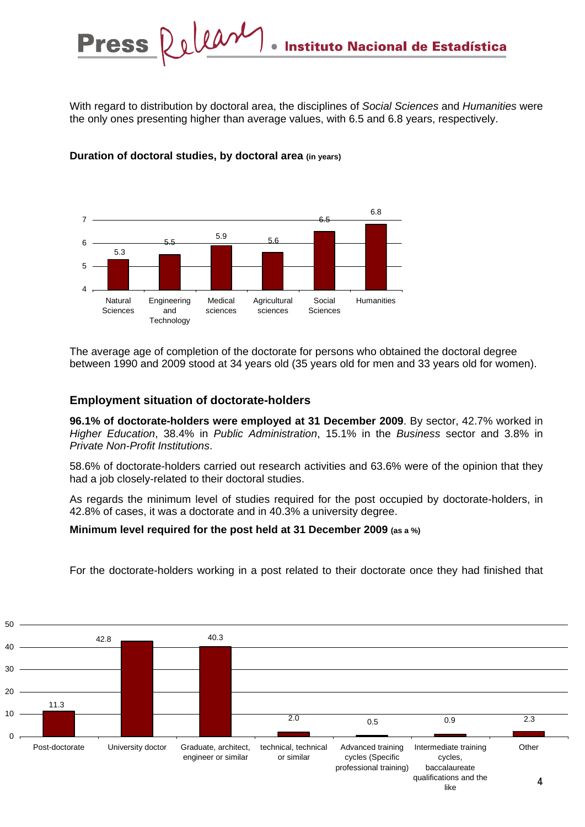With regard to distribution by doctoral area, the disciplines of *Social Sciences* and *Humanities* were the only ones presenting higher than average values, with 6.5 and 6.8 years, respectively.



# **Duration of doctoral studies, by doctoral area (in years)**

The average age of completion of the doctorate for persons who obtained the doctoral degree between 1990 and 2009 stood at 34 years old (35 years old for men and 33 years old for women).

# **Employment situation of doctorate-holders**

**96.1% of doctorate-holders were employed at 31 December 2009**. By sector, 42.7% worked in *Higher Education*, 38.4% in *Public Administration*, 15.1% in the *Business* sector and 3.8% in *Private Non-Profit Institutions*.

58.6% of doctorate-holders carried out research activities and 63.6% were of the opinion that they had a job closely-related to their doctoral studies.

As regards the minimum level of studies required for the post occupied by doctorate-holders, in 42.8% of cases, it was a doctorate and in 40.3% a university degree.

### **Minimum level required for the post held at 31 December 2009 (as a %)**



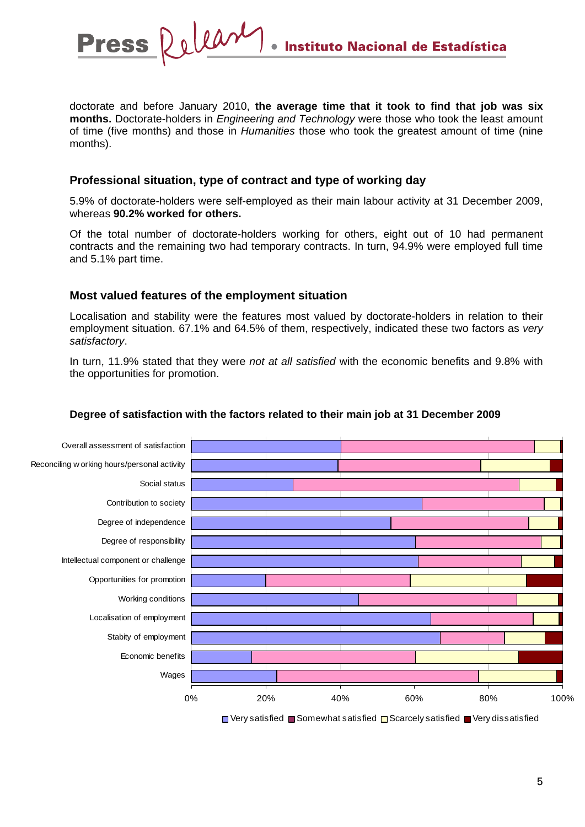

doctorate and before January 2010, **the average time that it took to find that job was six months.** Doctorate-holders in *Engineering and Technology* were those who took the least amount of time (five months) and those in *Humanities* those who took the greatest amount of time (nine months).

# **Professional situation, type of contract and type of working day**

5.9% of doctorate-holders were self-employed as their main labour activity at 31 December 2009, whereas **90.2% worked for others.** 

Of the total number of doctorate-holders working for others, eight out of 10 had permanent contracts and the remaining two had temporary contracts. In turn, 94.9% were employed full time and 5.1% part time.

# **Most valued features of the employment situation**

Localisation and stability were the features most valued by doctorate-holders in relation to their employment situation. 67.1% and 64.5% of them, respectively, indicated these two factors as *very satisfactory*.

In turn, 11.9% stated that they were *not at all satisfied* with the economic benefits and 9.8% with the opportunities for promotion.



# **Degree of satisfaction with the factors related to their main job at 31 December 2009**

 $\Box$  Very satisfied  $\Box$  Somewhat satisfied  $\Box$  Scarcely satisfied  $\Box$  Very dissatisfied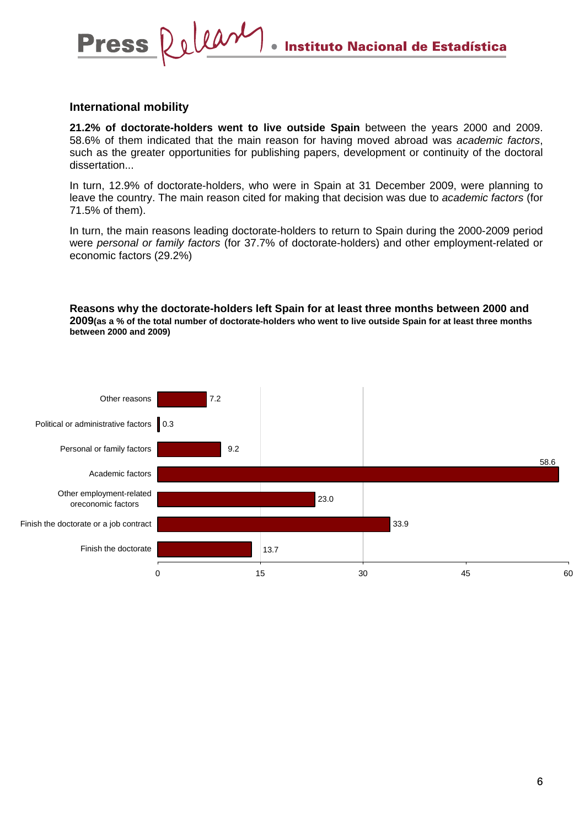## **International mobility**

**Press** 

Delease

**21.2% of doctorate-holders went to live outside Spain** between the years 2000 and 2009. 58.6% of them indicated that the main reason for having moved abroad was *academic factors*, such as the greater opportunities for publishing papers, development or continuity of the doctoral dissertation...

In turn, 12.9% of doctorate-holders, who were in Spain at 31 December 2009, were planning to leave the country. The main reason cited for making that decision was due to *academic factors* (for 71.5% of them).

In turn, the main reasons leading doctorate-holders to return to Spain during the 2000-2009 period were *personal or family factors* (for 37.7% of doctorate-holders) and other employment-related or economic factors (29.2%)

#### **Reasons why the doctorate-holders left Spain for at least three months between 2000 and 2009(as a % of the total number of doctorate-holders who went to live outside Spain for at least three months between 2000 and 2009)**

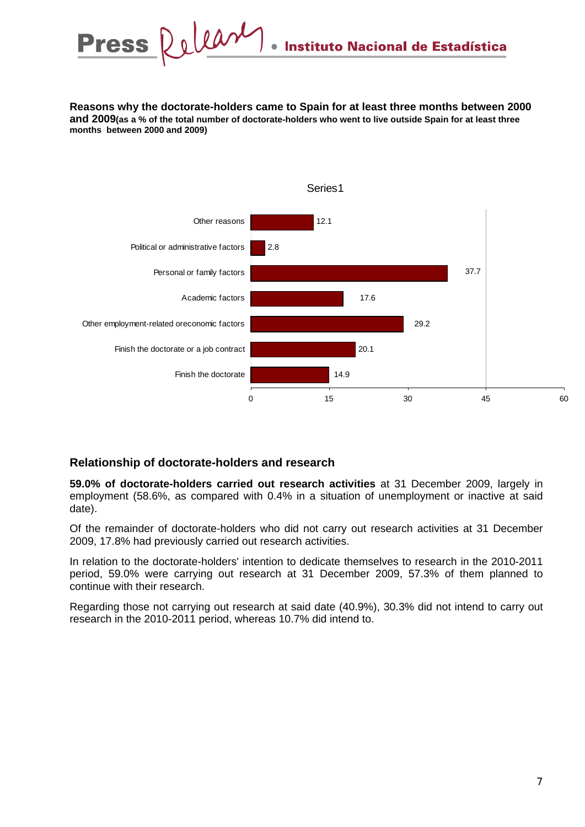Dolean **Press Instituto Nacional de Estadística** 

**Reasons why the doctorate-holders came to Spain for at least three months between 2000 and 2009(as a % of the total number of doctorate-holders who went to live outside Spain for at least three months between 2000 and 2009)**



### **Relationship of doctorate-holders and research**

**59.0% of doctorate-holders carried out research activities** at 31 December 2009, largely in employment (58.6%, as compared with 0.4% in a situation of unemployment or inactive at said date).

Of the remainder of doctorate-holders who did not carry out research activities at 31 December 2009, 17.8% had previously carried out research activities.

In relation to the doctorate-holders' intention to dedicate themselves to research in the 2010-2011 period, 59.0% were carrying out research at 31 December 2009, 57.3% of them planned to continue with their research.

Regarding those not carrying out research at said date (40.9%), 30.3% did not intend to carry out research in the 2010-2011 period, whereas 10.7% did intend to.